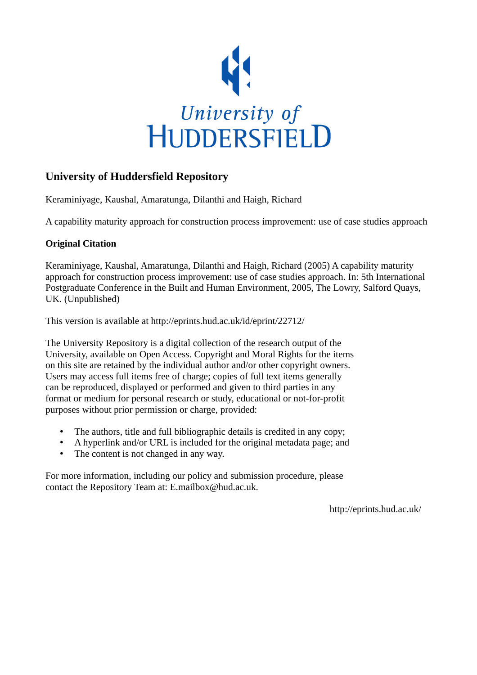

# **University of Huddersfield Repository**

Keraminiyage, Kaushal, Amaratunga, Dilanthi and Haigh, Richard

A capability maturity approach for construction process improvement: use of case studies approach

# **Original Citation**

Keraminiyage, Kaushal, Amaratunga, Dilanthi and Haigh, Richard (2005) A capability maturity approach for construction process improvement: use of case studies approach. In: 5th International Postgraduate Conference in the Built and Human Environment, 2005, The Lowry, Salford Quays, UK. (Unpublished)

This version is available at http://eprints.hud.ac.uk/id/eprint/22712/

The University Repository is a digital collection of the research output of the University, available on Open Access. Copyright and Moral Rights for the items on this site are retained by the individual author and/or other copyright owners. Users may access full items free of charge; copies of full text items generally can be reproduced, displayed or performed and given to third parties in any format or medium for personal research or study, educational or not-for-profit purposes without prior permission or charge, provided:

- The authors, title and full bibliographic details is credited in any copy;
- A hyperlink and/or URL is included for the original metadata page; and
- The content is not changed in any way.

For more information, including our policy and submission procedure, please contact the Repository Team at: E.mailbox@hud.ac.uk.

http://eprints.hud.ac.uk/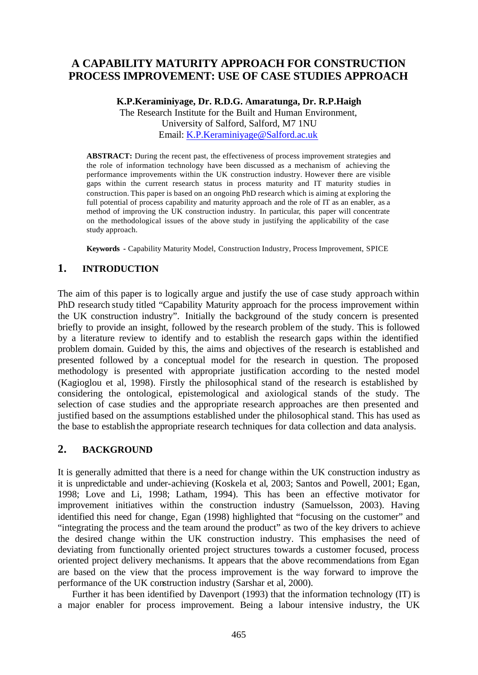# **A CAPABILITY MATURITY APPROACH FOR CONSTRUCTION PROCESS IMPROVEMENT: USE OF CASE STUDIES APPROACH**

## **K.P.Keraminiyage, Dr. R.D.G. Amaratunga, Dr. R.P.Haigh**

The Research Institute for the Built and Human Environment, University of Salford, Salford, M7 1NU Email: K.P.Keraminiyage@Salford.ac.uk

**ABSTRACT:** During the recent past, the effectiveness of process improvement strategies and the role of information technology have been discussed as a mechanism of achieving the performance improvements within the UK construction industry. However there are visible gaps within the current research status in process maturity and IT maturity studies in construction. This paper is based on an ongoing PhD research which is aiming at exploring the full potential of process capability and maturity approach and the role of IT as an enabler, as a method of improving the UK construction industry. In particular, this paper will concentrate on the methodological issues of the above study in justifying the applicability of the case study approach.

**Keywords -** Capability Maturity Model, Construction Industry, Process Improvement, SPICE

# **1. INTRODUCTION**

The aim of this paper is to logically argue and justify the use of case study approach within PhD research study titled "Capability Maturity approach for the process improvement within the UK construction industry". Initially the background of the study concern is presented briefly to provide an insight, followed by the research problem of the study. This is followed by a literature review to identify and to establish the research gaps within the identified problem domain. Guided by this, the aims and objectives of the research is established and presented followed by a conceptual model for the research in question. The proposed methodology is presented with appropriate justification according to the nested model (Kagioglou et al, 1998). Firstly the philosophical stand of the research is established by considering the ontological, epistemological and axiological stands of the study. The selection of case studies and the appropriate research approaches are then presented and justified based on the assumptions established under the philosophical stand. This has used as the base to establish the appropriate research techniques for data collection and data analysis.

# **2. BACKGROUND**

It is generally admitted that there is a need for change within the UK construction industry as it is unpredictable and under-achieving (Koskela et al, 2003; Santos and Powell, 2001; Egan, 1998; Love and Li, 1998; Latham, 1994). This has been an effective motivator for improvement initiatives within the construction industry (Samuelsson, 2003). Having identified this need for change, Egan (1998) highlighted that "focusing on the customer" and "integrating the process and the team around the product" as two of the key drivers to achieve the desired change within the UK construction industry. This emphasises the need of deviating from functionally oriented project structures towards a customer focused, process oriented project delivery mechanisms. It appears that the above recommendations from Egan are based on the view that the process improvement is the way forward to improve the performance of the UK construction industry (Sarshar et al, 2000).

Further it has been identified by Davenport (1993) that the information technology (IT) is a major enabler for process improvement. Being a labour intensive industry, the UK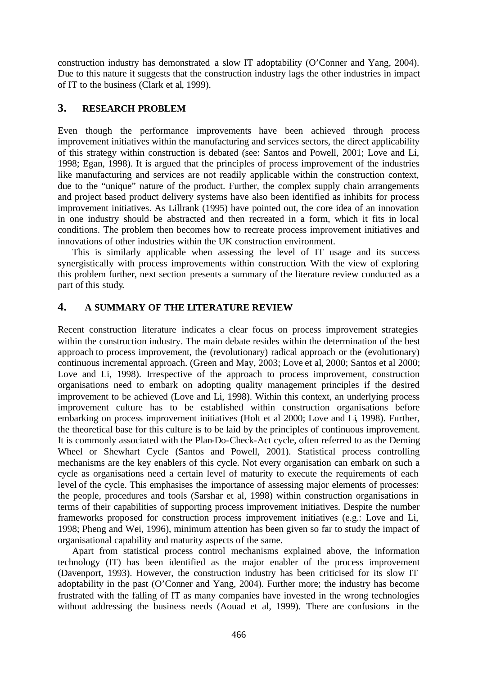construction industry has demonstrated a slow IT adoptability (O'Conner and Yang, 2004). Due to this nature it suggests that the construction industry lags the other industries in impact of IT to the business (Clark et al, 1999).

## **3. RESEARCH PROBLEM**

Even though the performance improvements have been achieved through process improvement initiatives within the manufacturing and services sectors, the direct applicability of this strategy within construction is debated (see: Santos and Powell, 2001; Love and Li, 1998; Egan, 1998). It is argued that the principles of process improvement of the industries like manufacturing and services are not readily applicable within the construction context, due to the "unique" nature of the product. Further, the complex supply chain arrangements and project based product delivery systems have also been identified as inhibits for process improvement initiatives. As Lillrank (1995) have pointed out, the core idea of an innovation in one industry should be abstracted and then recreated in a form, which it fits in local conditions. The problem then becomes how to recreate process improvement initiatives and innovations of other industries within the UK construction environment.

This is similarly applicable when assessing the level of IT usage and its success synergistically with process improvements within construction. With the view of exploring this problem further, next section presents a summary of the literature review conducted as a part of this study.

# **4. A SUMMARY OF THE LITERATURE REVIEW**

Recent construction literature indicates a clear focus on process improvement strategies within the construction industry. The main debate resides within the determination of the best approach to process improvement, the (revolutionary) radical approach or the (evolutionary) continuous incremental approach. (Green and May, 2003; Love et al, 2000; Santos et al 2000; Love and Li, 1998). Irrespective of the approach to process improvement, construction organisations need to embark on adopting quality management principles if the desired improvement to be achieved (Love and Li, 1998). Within this context, an underlying process improvement culture has to be established within construction organisations before embarking on process improvement initiatives (Holt et al 2000; Love and Li, 1998). Further, the theoretical base for this culture is to be laid by the principles of continuous improvement. It is commonly associated with the Plan-Do-Check-Act cycle, often referred to as the Deming Wheel or Shewhart Cycle (Santos and Powell, 2001). Statistical process controlling mechanisms are the key enablers of this cycle. Not every organisation can embark on such a cycle as organisations need a certain level of maturity to execute the requirements of each level of the cycle. This emphasises the importance of assessing major elements of processes: the people, procedures and tools (Sarshar et al, 1998) within construction organisations in terms of their capabilities of supporting process improvement initiatives. Despite the number frameworks proposed for construction process improvement initiatives (e.g.: Love and Li, 1998; Pheng and Wei, 1996), minimum attention has been given so far to study the impact of organisational capability and maturity aspects of the same.

Apart from statistical process control mechanisms explained above, the information technology (IT) has been identified as the major enabler of the process improvement (Davenport, 1993). However, the construction industry has been criticised for its slow IT adoptability in the past (O'Conner and Yang, 2004). Further more; the industry has become frustrated with the falling of IT as many companies have invested in the wrong technologies without addressing the business needs (Aouad et al, 1999). There are confusions in the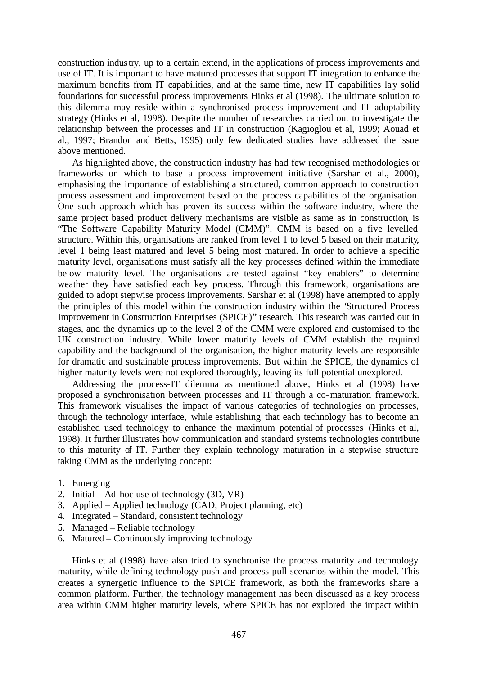construction industry, up to a certain extend, in the applications of process improvements and use of IT. It is important to have matured processes that support IT integration to enhance the maximum benefits from IT capabilities, and at the same time, new IT capabilities lay solid foundations for successful process improvements Hinks et al (1998). The ultimate solution to this dilemma may reside within a synchronised process improvement and IT adoptability strategy (Hinks et al, 1998). Despite the number of researches carried out to investigate the relationship between the processes and IT in construction (Kagioglou et al, 1999; Aouad et al., 1997; Brandon and Betts, 1995) only few dedicated studies have addressed the issue above mentioned.

As highlighted above, the construc tion industry has had few recognised methodologies or frameworks on which to base a process improvement initiative (Sarshar et al., 2000), emphasising the importance of establishing a structured, common approach to construction process assessment and improvement based on the process capabilities of the organisation. One such approach which has proven its success within the software industry, where the same project based product delivery mechanisms are visible as same as in construction, is "The Software Capability Maturity Model (CMM)". CMM is based on a five levelled structure. Within this, organisations are ranked from level 1 to level 5 based on their maturity, level 1 being least matured and level 5 being most matured. In order to achieve a specific maturity level, organisations must satisfy all the key processes defined within the immediate below maturity level. The organisations are tested against "key enablers" to determine weather they have satisfied each key process. Through this framework, organisations are guided to adopt stepwise process improvements. Sarshar et al (1998) have attempted to apply the principles of this model within the construction industry within the "Structured Process Improvement in Construction Enterprises (SPICE)" research. This research was carried out in stages, and the dynamics up to the level 3 of the CMM were explored and customised to the UK construction industry. While lower maturity levels of CMM establish the required capability and the background of the organisation, the higher maturity levels are responsible for dramatic and sustainable process improvements. But within the SPICE, the dynamics of higher maturity levels were not explored thoroughly, leaving its full potential unexplored.

Addressing the process-IT dilemma as mentioned above, Hinks et al (1998) have proposed a synchronisation between processes and IT through a co-maturation framework. This framework visualises the impact of various categories of technologies on processes, through the technology interface, while establishing that each technology has to become an established used technology to enhance the maximum potential of processes (Hinks et al, 1998). It further illustrates how communication and standard systems technologies contribute to this maturity of IT. Further they explain technology maturation in a stepwise structure taking CMM as the underlying concept:

- 1. Emerging
- 2. Initial Ad-hoc use of technology (3D, VR)
- 3. Applied Applied technology (CAD, Project planning, etc)
- 4. Integrated Standard, consistent technology
- 5. Managed Reliable technology
- 6. Matured Continuously improving technology

Hinks et al (1998) have also tried to synchronise the process maturity and technology maturity, while defining technology push and process pull scenarios within the model. This creates a synergetic influence to the SPICE framework, as both the frameworks share a common platform. Further, the technology management has been discussed as a key process area within CMM higher maturity levels, where SPICE has not explored the impact within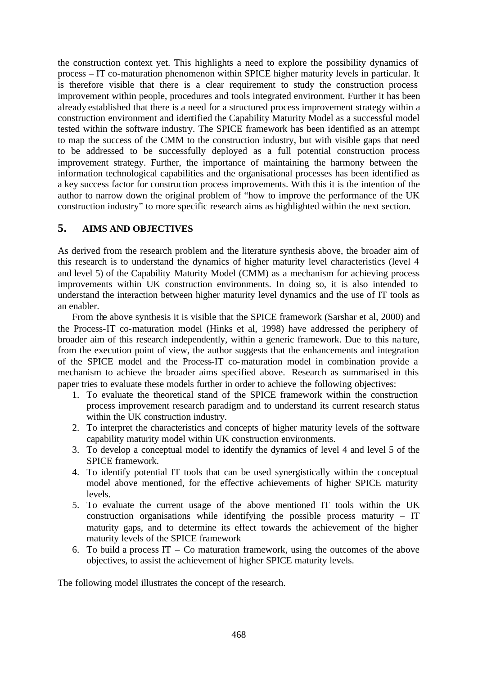the construction context yet. This highlights a need to explore the possibility dynamics of process – IT co-maturation phenomenon within SPICE higher maturity levels in particular. It is therefore visible that there is a clear requirement to study the construction process improvement within people, procedures and tools integrated environment. Further it has been already established that there is a need for a structured process improvement strategy within a construction environment and identified the Capability Maturity Model as a successful model tested within the software industry. The SPICE framework has been identified as an attempt to map the success of the CMM to the construction industry, but with visible gaps that need to be addressed to be successfully deployed as a full potential construction process improvement strategy. Further, the importance of maintaining the harmony between the information technological capabilities and the organisational processes has been identified as a key success factor for construction process improvements. With this it is the intention of the author to narrow down the original problem of "how to improve the performance of the UK construction industry" to more specific research aims as highlighted within the next section.

# **5. AIMS AND OBJECTIVES**

As derived from the research problem and the literature synthesis above, the broader aim of this research is to understand the dynamics of higher maturity level characteristics (level 4 and level 5) of the Capability Maturity Model (CMM) as a mechanism for achieving process improvements within UK construction environments. In doing so, it is also intended to understand the interaction between higher maturity level dynamics and the use of IT tools as an enabler.

From the above synthesis it is visible that the SPICE framework (Sarshar et al, 2000) and the Process-IT co-maturation model (Hinks et al, 1998) have addressed the periphery of broader aim of this research independently, within a generic framework. Due to this na ture, from the execution point of view, the author suggests that the enhancements and integration of the SPICE model and the Process-IT co-maturation model in combination provide a mechanism to achieve the broader aims specified above. Research as summarised in this paper tries to evaluate these models further in order to achieve the following objectives:

- 1. To evaluate the theoretical stand of the SPICE framework within the construction process improvement research paradigm and to understand its current research status within the UK construction industry.
- 2. To interpret the characteristics and concepts of higher maturity levels of the software capability maturity model within UK construction environments.
- 3. To develop a conceptual model to identify the dynamics of level 4 and level 5 of the SPICE framework.
- 4. To identify potential IT tools that can be used synergistically within the conceptual model above mentioned, for the effective achievements of higher SPICE maturity levels.
- 5. To evaluate the current usage of the above mentioned IT tools within the UK construction organisations while identifying the possible process maturity – IT maturity gaps, and to determine its effect towards the achievement of the higher maturity levels of the SPICE framework
- 6. To build a process  $IT Co$  maturation framework, using the outcomes of the above objectives, to assist the achievement of higher SPICE maturity levels.

The following model illustrates the concept of the research.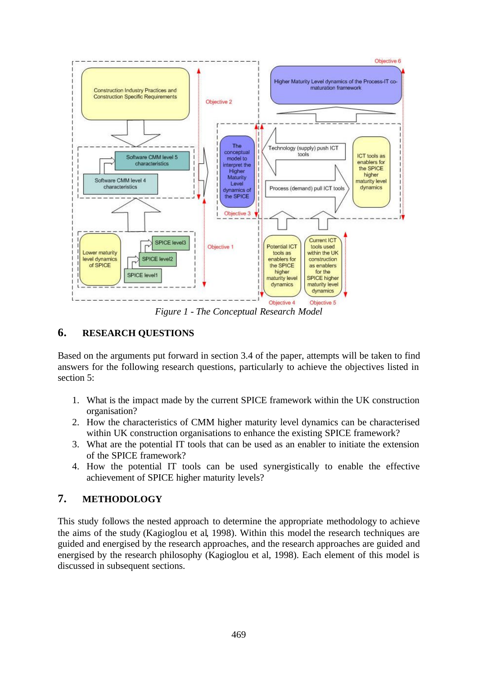

*Figure 1 - The Conceptual Research Model*

# **6. RESEARCH QUESTIONS**

Based on the arguments put forward in section 3.4 of the paper, attempts will be taken to find answers for the following research questions, particularly to achieve the objectives listed in section 5:

- 1. What is the impact made by the current SPICE framework within the UK construction organisation?
- 2. How the characteristics of CMM higher maturity level dynamics can be characterised within UK construction organisations to enhance the existing SPICE framework?
- 3. What are the potential IT tools that can be used as an enabler to initiate the extension of the SPICE framework?
- 4. How the potential IT tools can be used synergistically to enable the effective achievement of SPICE higher maturity levels?

# **7. METHODOLOGY**

This study follows the nested approach to determine the appropriate methodology to achieve the aims of the study (Kagioglou et al, 1998). Within this model the research techniques are guided and energised by the research approaches, and the research approaches are guided and energised by the research philosophy (Kagioglou et al, 1998). Each element of this model is discussed in subsequent sections.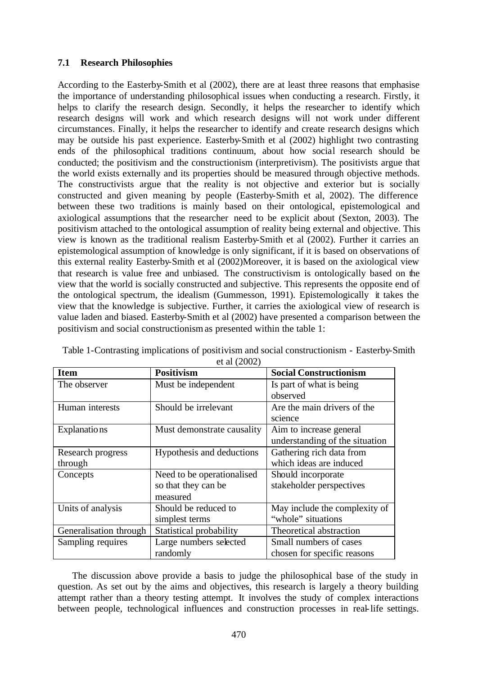#### **7.1 Research Philosophies**

According to the Easterby-Smith et al (2002), there are at least three reasons that emphasise the importance of understanding philosophical issues when conducting a research. Firstly, it helps to clarify the research design. Secondly, it helps the researcher to identify which research designs will work and which research designs will not work under different circumstances. Finally, it helps the researcher to identify and create research designs which may be outside his past experience. Easterby-Smith et al (2002) highlight two contrasting ends of the philosophical traditions continuum, about how social research should be conducted; the positivism and the constructionism (interpretivism). The positivists argue that the world exists externally and its properties should be measured through objective methods. The constructivists argue that the reality is not objective and exterior but is socially constructed and given meaning by people (Easterby-Smith et al, 2002). The difference between these two traditions is mainly based on their ontological, epistemological and axiological assumptions that the researcher need to be explicit about (Sexton, 2003). The positivism attached to the ontological assumption of reality being external and objective. This view is known as the traditional realism Easterby-Smith et al (2002). Further it carries an epistemological assumption of knowledge is only significant, if it is based on observations of this external reality Easterby-Smith et al (2002)Moreover, it is based on the axiological view that research is value free and unbiased. The constructivism is ontologically based on the view that the world is socially constructed and subjective. This represents the opposite end of the ontological spectrum, the idealism (Gummesson, 1991). Epistemologically it takes the view that the knowledge is subjective. Further, it carries the axiological view of research is value laden and biased. Easterby-Smith et al (2002) have presented a comparison between the positivism and social constructionism as presented within the table 1:

| <b>Item</b>            | <b>Positivism</b>          | <b>Social Constructionism</b>  |
|------------------------|----------------------------|--------------------------------|
| The observer           | Must be independent        | Is part of what is being       |
|                        |                            | observed                       |
| Human interests        | Should be irrelevant       | Are the main drivers of the    |
|                        |                            | science                        |
| Explanations           | Must demonstrate causality | Aim to increase general        |
|                        |                            | understanding of the situation |
| Research progress      | Hypothesis and deductions  | Gathering rich data from       |
| through                |                            | which ideas are induced        |
| Concepts               | Need to be operationalised | Should incorporate             |
|                        | so that they can be        | stakeholder perspectives       |
|                        | measured                   |                                |
| Units of analysis      | Should be reduced to       | May include the complexity of  |
|                        | simplest terms             | "whole" situations             |
| Generalisation through | Statistical probability    | Theoretical abstraction        |
| Sampling requires      | Large numbers selected     | Small numbers of cases         |
|                        | randomly                   | chosen for specific reasons    |

Table 1-Contrasting implications of positivism and social constructionism - Easterby-Smith et al (2002)

The discussion above provide a basis to judge the philosophical base of the study in question. As set out by the aims and objectives, this research is largely a theory building attempt rather than a theory testing attempt. It involves the study of complex interactions between people, technological influences and construction processes in real-life settings.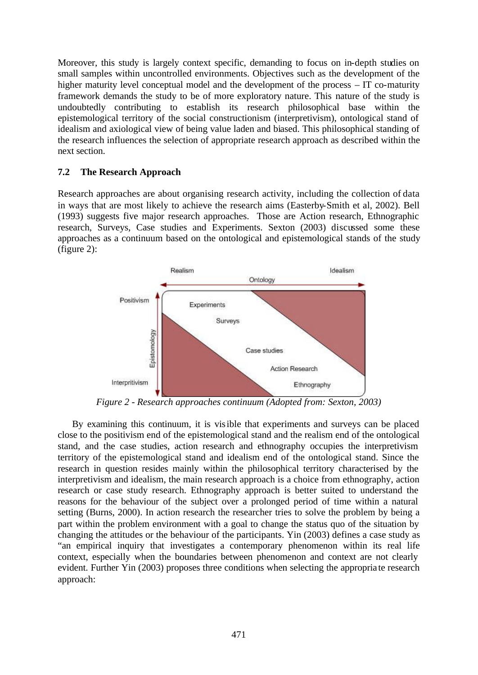Moreover, this study is largely context specific, demanding to focus on in-depth studies on small samples within uncontrolled environments. Objectives such as the development of the higher maturity level conceptual model and the development of the process – IT co-maturity framework demands the study to be of more exploratory nature. This nature of the study is undoubtedly contributing to establish its research philosophical base within the epistemological territory of the social constructionism (interpretivism), ontological stand of idealism and axiological view of being value laden and biased. This philosophical standing of the research influences the selection of appropriate research approach as described within the next section.

#### **7.2 The Research Approach**

Research approaches are about organising research activity, including the collection of data in ways that are most likely to achieve the research aims (Easterby-Smith et al, 2002). Bell (1993) suggests five major research approaches. Those are Action research, Ethnographic research, Surveys, Case studies and Experiments. Sexton (2003) discussed some these approaches as a continuum based on the ontological and epistemological stands of the study (figure 2):



*Figure 2 - Research approaches continuum (Adopted from: Sexton, 2003)*

By examining this continuum, it is visible that experiments and surveys can be placed close to the positivism end of the epistemological stand and the realism end of the ontological stand, and the case studies, action research and ethnography occupies the interpretivism territory of the epistemological stand and idealism end of the ontological stand. Since the research in question resides mainly within the philosophical territory characterised by the interpretivism and idealism, the main research approach is a choice from ethnography, action research or case study research. Ethnography approach is better suited to understand the reasons for the behaviour of the subject over a prolonged period of time within a natural setting (Burns, 2000). In action research the researcher tries to solve the problem by being a part within the problem environment with a goal to change the status quo of the situation by changing the attitudes or the behaviour of the participants. Yin (2003) defines a case study as "an empirical inquiry that investigates a contemporary phenomenon within its real life context, especially when the boundaries between phenomenon and context are not clearly evident. Further Yin (2003) proposes three conditions when selecting the appropria te research approach: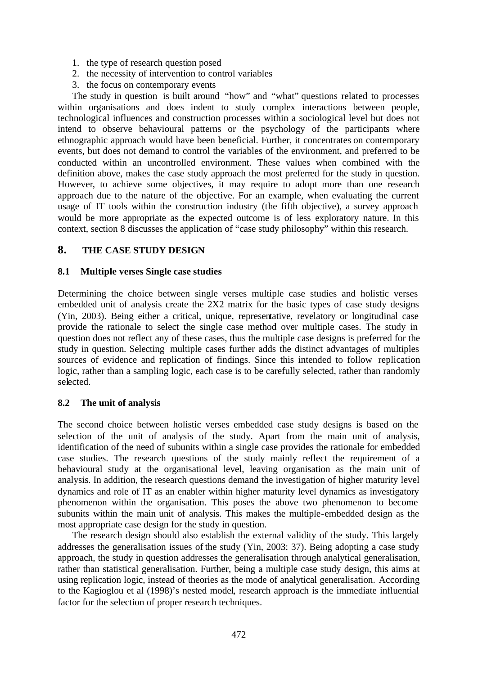- 1. the type of research question posed
- 2. the necessity of intervention to control variables
- 3. the focus on contemporary events

The study in question is built around "how" and "what" questions related to processes within organisations and does indent to study complex interactions between people, technological influences and construction processes within a sociological level but does not intend to observe behavioural patterns or the psychology of the participants where ethnographic approach would have been beneficial. Further, it concentrates on contemporary events, but does not demand to control the variables of the environment, and preferred to be conducted within an uncontrolled environment. These values when combined with the definition above, makes the case study approach the most preferred for the study in question. However, to achieve some objectives, it may require to adopt more than one research approach due to the nature of the objective. For an example, when evaluating the current usage of IT tools within the construction industry (the fifth objective), a survey approach would be more appropriate as the expected outcome is of less exploratory nature. In this context, section 8 discusses the application of "case study philosophy" within this research.

# **8. THE CASE STUDY DESIGN**

#### **8.1 Multiple verses Single case studies**

Determining the choice between single verses multiple case studies and holistic verses embedded unit of analysis create the 2X2 matrix for the basic types of case study designs (Yin, 2003). Being either a critical, unique, representative, revelatory or longitudinal case provide the rationale to select the single case method over multiple cases. The study in question does not reflect any of these cases, thus the multiple case designs is preferred for the study in question. Selecting multiple cases further adds the distinct advantages of multiples sources of evidence and replication of findings. Since this intended to follow replication logic, rather than a sampling logic, each case is to be carefully selected, rather than randomly selected.

#### **8.2 The unit of analysis**

The second choice between holistic verses embedded case study designs is based on the selection of the unit of analysis of the study. Apart from the main unit of analysis, identification of the need of subunits within a single case provides the rationale for embedded case studies. The research questions of the study mainly reflect the requirement of a behavioural study at the organisational level, leaving organisation as the main unit of analysis. In addition, the research questions demand the investigation of higher maturity level dynamics and role of IT as an enabler within higher maturity level dynamics as investigatory phenomenon within the organisation. This poses the above two phenomenon to become subunits within the main unit of analysis. This makes the multiple-embedded design as the most appropriate case design for the study in question.

The research design should also establish the external validity of the study. This largely addresses the generalisation issues of the study (Yin, 2003: 37). Being adopting a case study approach, the study in question addresses the generalisation through analytical generalisation, rather than statistical generalisation. Further, being a multiple case study design, this aims at using replication logic, instead of theories as the mode of analytical generalisation. According to the Kagioglou et al (1998)'s nested model, research approach is the immediate influential factor for the selection of proper research techniques.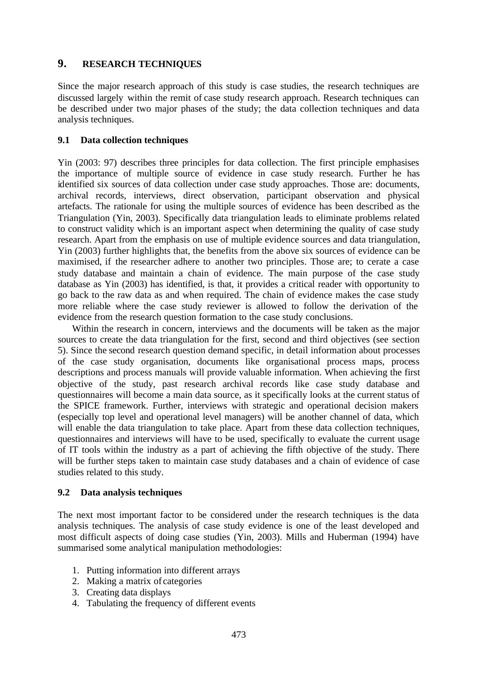## **9. RESEARCH TECHNIQUES**

Since the major research approach of this study is case studies, the research techniques are discussed largely within the remit of case study research approach. Research techniques can be described under two major phases of the study; the data collection techniques and data analysis techniques.

### **9.1 Data collection techniques**

Yin (2003: 97) describes three principles for data collection. The first principle emphasises the importance of multiple source of evidence in case study research. Further he has identified six sources of data collection under case study approaches. Those are: documents, archival records, interviews, direct observation, participant observation and physical artefacts. The rationale for using the multiple sources of evidence has been described as the Triangulation (Yin, 2003). Specifically data triangulation leads to eliminate problems related to construct validity which is an important aspect when determining the quality of case study research. Apart from the emphasis on use of multiple evidence sources and data triangulation, Yin (2003) further highlights that, the benefits from the above six sources of evidence can be maximised, if the researcher adhere to another two principles. Those are; to cerate a case study database and maintain a chain of evidence. The main purpose of the case study database as Yin (2003) has identified, is that, it provides a critical reader with opportunity to go back to the raw data as and when required. The chain of evidence makes the case study more reliable where the case study reviewer is allowed to follow the derivation of the evidence from the research question formation to the case study conclusions.

Within the research in concern, interviews and the documents will be taken as the major sources to create the data triangulation for the first, second and third objectives (see section 5). Since the second research question demand specific, in detail information about processes of the case study organisation, documents like organisational process maps, process descriptions and process manuals will provide valuable information. When achieving the first objective of the study, past research archival records like case study database and questionnaires will become a main data source, as it specifically looks at the current status of the SPICE framework. Further, interviews with strategic and operational decision makers (especially top level and operational level managers) will be another channel of data, which will enable the data triangulation to take place. Apart from these data collection techniques, questionnaires and interviews will have to be used, specifically to evaluate the current usage of IT tools within the industry as a part of achieving the fifth objective of the study. There will be further steps taken to maintain case study databases and a chain of evidence of case studies related to this study.

#### **9.2 Data analysis techniques**

The next most important factor to be considered under the research techniques is the data analysis techniques. The analysis of case study evidence is one of the least developed and most difficult aspects of doing case studies (Yin, 2003). Mills and Huberman (1994) have summarised some analytical manipulation methodologies:

- 1. Putting information into different arrays
- 2. Making a matrix of categories
- 3. Creating data displays
- 4. Tabulating the frequency of different events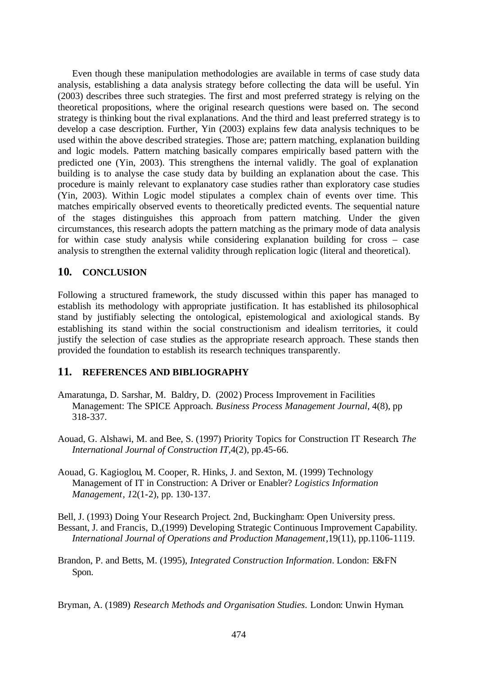Even though these manipulation methodologies are available in terms of case study data analysis, establishing a data analysis strategy before collecting the data will be useful. Yin (2003) describes three such strategies. The first and most preferred strategy is relying on the theoretical propositions, where the original research questions were based on. The second strategy is thinking bout the rival explanations. And the third and least preferred strategy is to develop a case description. Further, Yin (2003) explains few data analysis techniques to be used within the above described strategies. Those are; pattern matching, explanation building and logic models. Pattern matching basically compares empirically based pattern with the predicted one (Yin, 2003). This strengthens the internal validly. The goal of explanation building is to analyse the case study data by building an explanation about the case. This procedure is mainly relevant to explanatory case studies rather than exploratory case studies (Yin, 2003). Within Logic model stipulates a complex chain of events over time. This matches empirically observed events to theoretically predicted events. The sequential nature of the stages distinguishes this approach from pattern matching. Under the given circumstances, this research adopts the pattern matching as the primary mode of data analysis for within case study analysis while considering explanation building for cross – case analysis to strengthen the external validity through replication logic (literal and theoretical).

## **10. CONCLUSION**

Following a structured framework, the study discussed within this paper has managed to establish its methodology with appropriate justification. It has established its philosophical stand by justifiably selecting the ontological, epistemological and axiological stands. By establishing its stand within the social constructionism and idealism territories, it could justify the selection of case studies as the appropriate research approach. These stands then provided the foundation to establish its research techniques transparently.

#### **11. REFERENCES AND BIBLIOGRAPHY**

- Amaratunga, D. Sarshar, M. Baldry, D. (2002) Process Improvement in Facilities Management: The SPICE Approach. *Business Process Management Journal*, 4(8), pp 318-337.
- Aouad, G. Alshawi, M. and Bee, S. (1997) Priority Topics for Construction IT Research*. The International Journal of Construction IT*,4(2), pp.45-66.
- Aouad, G. Kagioglou, M. Cooper, R. Hinks, J. and Sexton, M. (1999) Technology Management of IT in Construction: A Driver or Enabler? *Logistics Information Management, 1*2(1-2), pp. 130-137.

Bell, J. (1993) Doing Your Research Project. 2nd, Buckingham: Open University press. Bessant, J. and Francis, D.,(1999) Developing Strategic Continuous Improvement Capability. *International Journal of Operations and Production Management*,19(11), pp.1106-1119.

Brandon, P. and Betts, M. (1995), *Integrated Construction Information*. London: E&FN Spon.

Bryman, A. (1989) *Research Methods and Organisation Studies*. London: Unwin Hyman.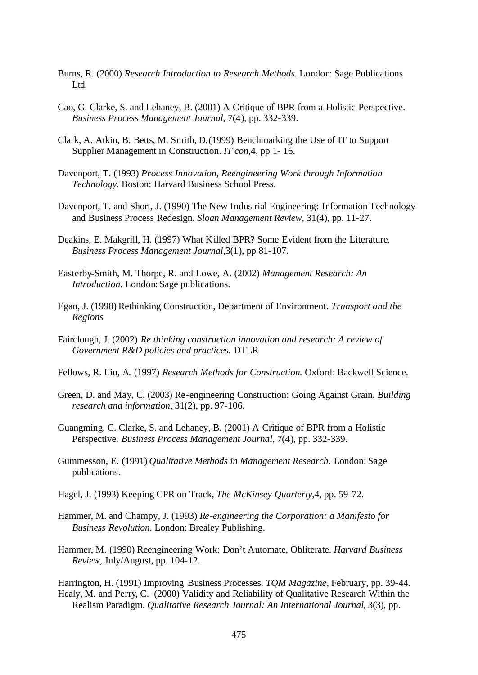- Burns, R. (2000) *Research Introduction to Research Methods*. London: Sage Publications Ltd.
- Cao, G. Clarke, S. and Lehaney, B. (2001) A Critique of BPR from a Holistic Perspective. *Business Process Management Journal*, 7(4), pp. 332-339.
- Clark, A. Atkin, B. Betts, M. Smith, D.(1999) Benchmarking the Use of IT to Support Supplier Management in Construction. *IT con*,4, pp 1- 16.
- Davenport, T. (1993) *Process Innovation, Reengineering Work through Information Technology*. Boston: Harvard Business School Press.
- Davenport, T. and Short, J. (1990) The New Industrial Engineering: Information Technology and Business Process Redesign. *Sloan Management Review*, 31(4), pp. 11-27.
- Deakins, E. Makgrill, H. (1997) What Killed BPR? Some Evident from the Literature. *Business Process Management Journal*,3(1), pp 81-107.
- Easterby-Smith, M. Thorpe, R. and Lowe, A. (2002) *Management Research: An Introduction*. London: Sage publications.
- Egan, J. (1998) Rethinking Construction, Department of Environment*. Transport and the Regions*
- Fairclough, J. (2002) *Re thinking construction innovation and research: A review of Government R&D policies and practices*. DTLR
- Fellows, R. Liu, A. (1997) *Research Methods for Construction.* Oxford: Backwell Science.
- Green, D. and May, C. (2003) Re-engineering Construction: Going Against Grain. *Building research and information*, 31(2), pp. 97-106.
- Guangming, C. Clarke, S. and Lehaney, B. (2001) A Critique of BPR from a Holistic Perspective. *Business Process Management Journal*, 7(4), pp. 332-339.
- Gummesson, E. (1991) *Qualitative Methods in Management Research*. London: Sage publications.
- Hagel, J. (1993) Keeping CPR on Track, *The McKinsey Quarterly*,4, pp. 59-72.
- Hammer, M. and Champy, J. (1993) *Re-engineering the Corporation: a Manifesto for Business Revolution*. London: Brealey Publishing.
- Hammer, M. (1990) Reengineering Work: Don't Automate, Obliterate. *Harvard Business Review*, July/August, pp. 104-12.

Harrington, H. (1991) Improving Business Processes. *TQM Magazine*, February, pp. 39-44. Healy, M. and Perry, C. (2000) Validity and Reliability of Qualitative Research Within the Realism Paradigm. *Qualitative Research Journal: An International Journal,* 3(3), pp.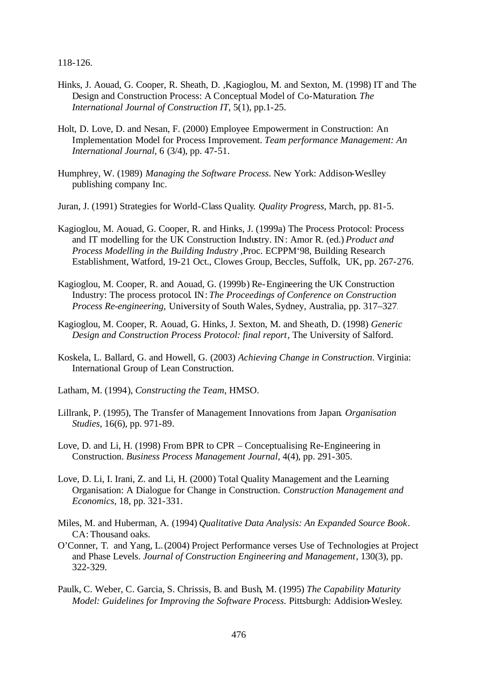118-126.

- Hinks, J. Aouad, G. Cooper, R. Sheath, D. ,Kagioglou, M. and Sexton, M. (1998) IT and The Design and Construction Process: A Conceptual Model of Co-Maturation. *The International Journal of Construction IT*, 5(1), pp.1-25.
- Holt, D. Love, D. and Nesan, F. (2000) Employee Empowerment in Construction: An Implementation Model for Process Improvement. *Team performance Management: An International Journal*, 6 (3/4), pp. 47-51.
- Humphrey, W. (1989) *Managing the Software Process*. New York: Addison-Weslley publishing company Inc.
- Juran, J. (1991) Strategies for World-Class Quality. *Quality Progress*, March, pp. 81-5.
- Kagioglou, M. Aouad, G. Cooper, R. and Hinks, J. (1999a) The Process Protocol: Process and IT modelling for the UK Construction Industry. IN: Amor R. (ed.) *Product and Process Modelling in the Building Industry* ,Proc. ECPPM'98, Building Research Establishment, Watford, 19-21 Oct., Clowes Group, Beccles, Suffolk, UK, pp. 267-276.
- Kagioglou, M. Cooper, R. and Aouad, G. (1999b) Re-Engineering the UK Construction Industry: The process protocol. IN: *The Proceedings of Conference on Construction Process Re-engineering*, University of South Wales, Sydney, Australia, pp. 317–327.
- Kagioglou, M. Cooper, R. Aouad, G. Hinks, J. Sexton, M. and Sheath, D. (1998) *Generic Design and Construction Process Protocol: final report*, The University of Salford.
- Koskela, L. Ballard, G. and Howell, G. (2003) *Achieving Change in Construction*. Virginia: International Group of Lean Construction.
- Latham, M. (1994), *Constructing the Team*, HMSO.
- Lillrank, P. (1995), The Transfer of Management Innovations from Japan. *Organisation Studies*, 16(6), pp. 971-89.
- Love, D. and Li, H. (1998) From BPR to CPR Conceptualising Re-Engineering in Construction. *Business Process Management Journal*, 4(4), pp. 291-305.
- Love, D. Li, I. Irani, Z. and Li, H. (2000) Total Quality Management and the Learning Organisation: A Dialogue for Change in Construction. *Construction Management and Economics*, 18, pp. 321-331.
- Miles, M. and Huberman, A. (1994) *Qualitative Data Analysis: An Expanded Source Book*. CA: Thousand oaks.
- O'Conner, T. and Yang, L.(2004) Project Performance verses Use of Technologies at Project and Phase Levels. *Journal of Construction Engineering and Management*, 130(3), pp. 322-329.
- Paulk, C. Weber, C. Garcia, S. Chrissis, B. and Bush, M. (1995) *The Capability Maturity Model: Guidelines for Improving the Software Process*. Pittsburgh: Addision-Wesley.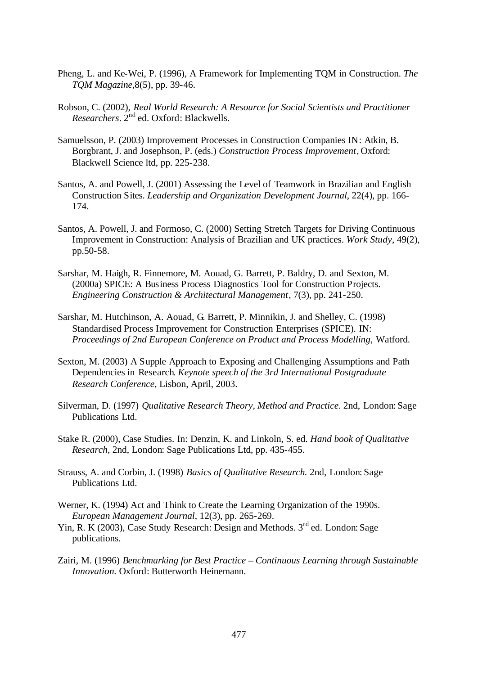- Pheng, L. and Ke-Wei, P. (1996), A Framework for Implementing TQM in Construction. *The TQM Magazine,*8(5), pp. 39-46.
- Robson, C. (2002), *Real World Research: A Resource for Social Scientists and Practitioner Researchers*. 2 nd ed. Oxford: Blackwells.
- Samuelsson, P. (2003) Improvement Processes in Construction Companies IN: Atkin, B. Borgbrant, J. and Josephson, P. (eds.) *Construction Process Improvement*, Oxford: Blackwell Science ltd, pp. 225-238.
- Santos, A. and Powell, J. (2001) Assessing the Level of Teamwork in Brazilian and English Construction Sites. *Leadership and Organization Development Journal*, 22(4), pp. 166- 174.
- Santos, A. Powell, J. and Formoso, C. (2000) Setting Stretch Targets for Driving Continuous Improvement in Construction: Analysis of Brazilian and UK practices. *Work Study*, 49(2), pp.50-58.
- Sarshar, M. Haigh, R. Finnemore, M. Aouad, G. Barrett, P. Baldry, D. and Sexton, M. (2000a) SPICE: A Business Process Diagnostics Tool for Construction Projects. *Engineering Construction & Architectural Management*, 7(3), pp. 241-250.
- Sarshar, M. Hutchinson, A. Aouad, G. Barrett, P. Minnikin, J. and Shelley, C. (1998) Standardised Process Improvement for Construction Enterprises (SPICE). IN: *Proceedings of 2nd European Conference on Product and Process Modelling*, Watford.
- Sexton, M. (2003) A Supple Approach to Exposing and Challenging Assumptions and Path Dependencies in Research. *Keynote speech of the 3rd International Postgraduate Research Conference*, Lisbon, April, 2003.
- Silverman, D. (1997) *Qualitative Research Theory, Method and Practice*. 2nd, London: Sage Publications Ltd.
- Stake R. (2000), Case Studies. In: Denzin, K. and Linkoln, S. ed. *Hand book of Qualitative Research*, 2nd, London: Sage Publications Ltd, pp. 435-455.
- Strauss, A. and Corbin, J. (1998) *Basics of Qualitative Research.* 2nd, London: Sage Publications Ltd.
- Werner, K. (1994) Act and Think to Create the Learning Organization of the 1990s. *European Management Journal*, 12(3), pp. 265-269.
- Yin, R. K (2003), Case Study Research: Design and Methods. 3<sup>rd</sup> ed. London: Sage publications.
- Zairi, M. (1996) *Benchmarking for Best Practice Continuous Learning through Sustainable Innovation.* Oxford: Butterworth Heinemann.